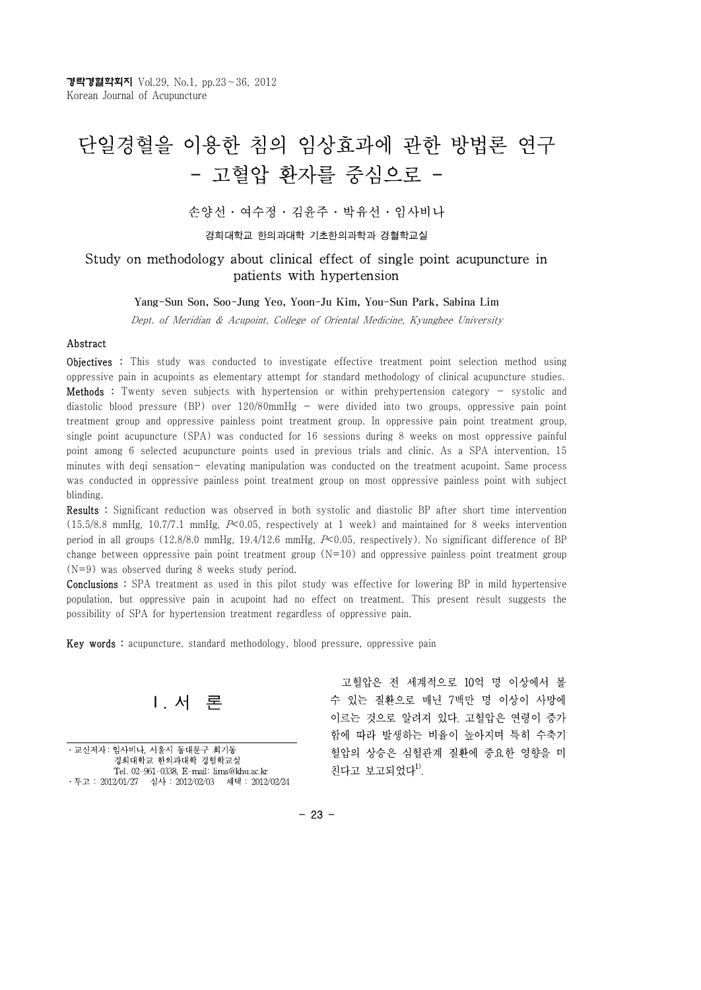# 단일경혈을 이용한 침의 임상효과에 관한 방법론 연구 - 고혈압 환자를 중심으로 -

손양선⋅여수정⋅김윤주⋅박유선⋅임사비나

경희대학교 한의과대학 기초한의과학과 경혈학교실

#### Study on methodology about clinical effect of single point acupuncture in patients with hypertension

#### Yang-Sun Son, Soo-Jung Yeo, Yoon-Ju Kim, You-Sun Park, Sabina Lim

Dept. of Meridian & Acupoint, College of Oriental Medicine, Kyunghee University

#### Abstract

Objectives : This study was conducted to investigate effective treatment point selection method using oppressive pain in acupoints as elementary attempt for standard methodology of clinical acupuncture studies. Methods : Twenty seven subjects with hypertension or within prehypertension category - systolic and diastolic blood pressure (BP) over  $120/80$ mmHg - were divided into two groups, oppressive pain point treatment group and oppressive painless point treatment group. In oppressive pain point treatment group, single point acupuncture (SPA) was conducted for 16 sessions during 8 weeks on most oppressive painful point among 6 selected acupuncture points used in previous trials and clinic. As a SPA intervention, 15 minutes with deqi sensation- elevating manipulation was conducted on the treatment acupoint. Same process was conducted in oppressive painless point treatment group on most oppressive painless point with subject blinding.

Results : Significant reduction was observed in both systolic and diastolic BP after short time intervention (15.5/8.8 mmHg, 10.7/7.1 mmHg,  $P<0.05$ , respectively at 1 week) and maintained for 8 weeks intervention period in all groups (12.8/8.0 mmHg, 19.4/12.6 mmHg, P<0.05, respectively). No significant difference of BP change between oppressive pain point treatment group  $(N=10)$  and oppressive painless point treatment group (N=9) was observed during 8 weeks study period.

Conclusions : SPA treatment as used in this pilot study was effective for lowering BP in mild hypertensive population, but oppressive pain in acupoint had no effect on treatment. This present result suggests the possibility of SPA for hypertension treatment regardless of oppressive pain.

Key words : acupuncture, standard methodology, blood pressure, oppressive pain



⋅교신저자 : 임사비나, 서울시 동대문구 회기동 경희대학교 한의과대학 경혈학교실 Tel. 02-961-0338, E-mail: lims@khu.ac.kr ⋅투고 : 2012/01/27 심사 : 2012/02/03 채택 : 2012/02/24

고혈압은 전 세계적으로 10억 명 이상에서 볼 수 있는 질환으로 매년 7백만 명 이상이 사망에 이르는 것으로 알려져 있다. 고혈압은 연령이 증가 함에 따라 발생하는 비율이 높아지며 특히 수축기 혈압의 상승은 심혈관계 질환에 중요한 영향을 미 친다고 보고되었다 $1$ .

 $-23 -$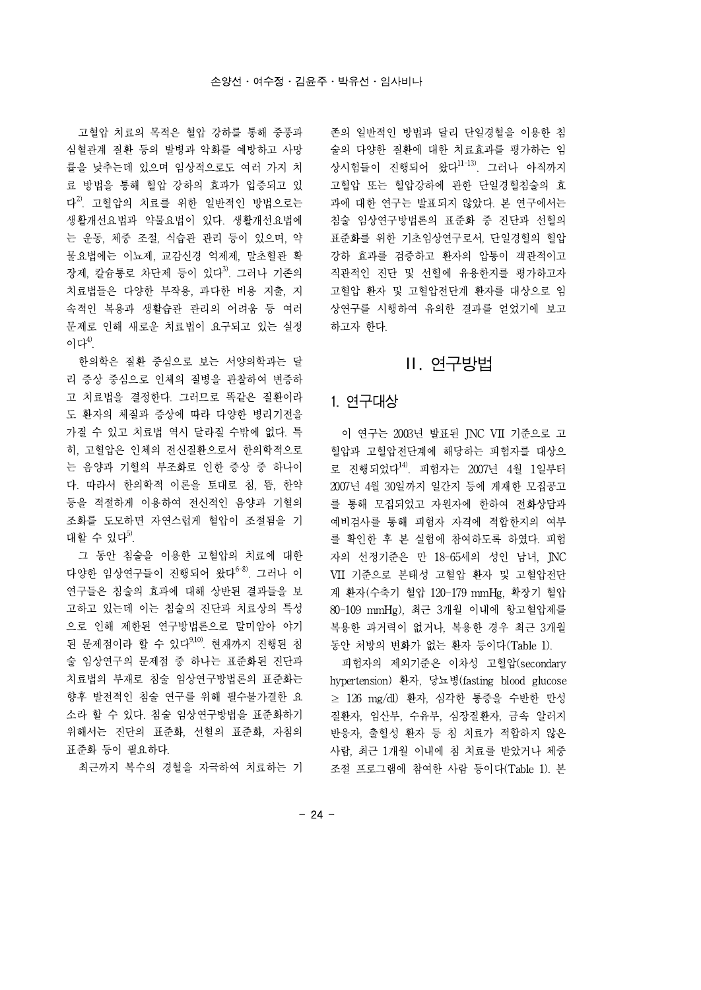고혈압 치료의 목적은 혈압 강하를 통해 중풍과 심혈관계 질환 등의 발병과 악화를 예방하고 사망 률을 낮추는데 있으며 임상적으로도 여러 가지 치 료 방법을 통해 혈압 강하의 효과가 입증되고 있 다<sup>2)</sup>. 고혈압의 치료를 위한 일반적인 방법으로는 · 과에 대한 연 생활개선요법과 약물요법이 있다. 생활개선요법에 는 운동, 체중 조절, 식습관 관리 등이 있으며, 약 물요법에는 이뇨제, 교감신경 억제제, 말초혈관 확 장제, 칼슘통로 차단제 등이 있다<sup>3)</sup>. 그러나 기존의 치료법들은 다양한 부작용, 과다한 비용 지출, 지 속적인 복용과 생활습관 관리의 어려움 등 여러 문제로 인해 새로운 치료법이 요구되고 있는 실정 이다 $4^9$ .

한의학은 질환 중심으로 보는 서양의학과는 달 리 증상 중심으로 인체의 질병을 관찰하여 변증하 고 치료법을 결정한다. 그러므로 똑같은 질환이라 도 환자의 체질과 증상에 따라 다양한 병리기전을 가질 수 있고 치료법 역시 달라질 수밖에 없다. 특 히, 고혈압은 인체의 전신질환으로서 한의학적으로 는 음양과 기혈의 부조화로 인한 증상 중 하나이 다. 따라서 한의학적 이론을 토대로 침, 뜸, 한약 등을 적절하게 이용하여 전신적인 음양과 기혈의 조화를 도모하면 자연스럽게 혈압이 조절됨을 기 대할 수 있다 $^{5}$ .

그 동안 침술을 이용한 고혈압의 치료에 대한 다양한 임상연구들이 진행되어 왔다 $^{6-8}$ . 그러나 이 연구들은 침술의 효과에 대해 상반된 결과들을 보 고하고 있는데 이는 침술의 진단과 치료상의 특성 으로 인해 제한된 연구방법론으로 말미암아 야기 된 문제점이라 할 수 있다 $^{9,100}$ . 현재까지 진행된 침 술 임상연구의 문제점 중 하나는 표준화된 진단과 치료법의 부재로 침술 임상연구방법론의 표준화는 향후 발전적인 침술 연구를 위해 필수불가결한 요 소라 할 수 있다. 침술 임상연구방법을 표준화하기 위해서는 진단의 표준화, 선혈의 표준화, 자침의 표준화 등이 필요하다.

최근까지 복수의 경혈을 자극하여 치료하는 기

존의 일반적인 방법과 달리 단일경혈을 이용한 침 술의 다양한 질환에 대한 치료효과를 평가하는 임 상시험들이 진행되어 왔다11-13). 그러나 아직까지 고혈압 또는 혈압강하에 관한 단일경혈침술의 효 과에 대한 연구는 발표되지 않았다. 본 연구에서는 침술 임상연구방법론의 표준화 중 진단과 선혈의 표준화를 위한 기초임상연구로서, 단일경혈의 혈압 강하 효과를 검증하고 환자의 압통이 객관적이고 직관적인 진단 및 선혈에 유용한지를 평가하고자 고혈압 환자 및 고혈압전단계 환자를 대상으로 임 상연구를 시행하여 유의한 결과를 얻었기에 보고 하고자 한다.

### Ⅱ. 연구방법

#### 1. 연구대상

이 연구는 2003년 발표된 JNC VII 기준으로 고 혈압과 고혈압전단계에 해당하는 피험자를 대상으 로 진행되었다14). 피험자는 2007년 4월 1일부터 2007년 4월 30일까지 일간지 등에 게재한 모집공고 를 통해 모집되었고 자원자에 한하여 전화상담과 예비검사를 통해 피험자 자격에 적합한지의 여부 를 확인한 후 본 실험에 참여하도록 하였다. 피험 자의 선정기준은 만 18-65세의 성인 남녀, JNC VII 기준으로 본태성 고혈압 환자 및 고혈압전단 계 환자(수축기 혈압 120-179 mmHg, 확장기 혈압 80-109 mmHg), 최근 3개월 이내에 항고혈압제를 복용한 과거력이 없거나, 복용한 경우 최근 3개월 동안 처방의 변화가 없는 환자 등이다(Table 1).

피험자의 제외기준은 이차성 고혈압(secondary hypertension) 환자, 당뇨병(fasting blood glucose ≥ 126 mg/dl) 환자, 심각한 통증을 수반한 만성 질환자, 임산부, 수유부, 심장질환자, 금속 알러지 반응자, 출혈성 환자 등 침 치료가 적합하지 않은 사람, 최근 1개월 이내에 침 치료를 받았거나 체중 조절 프로그램에 참여한 사람 등이다(Table 1). 본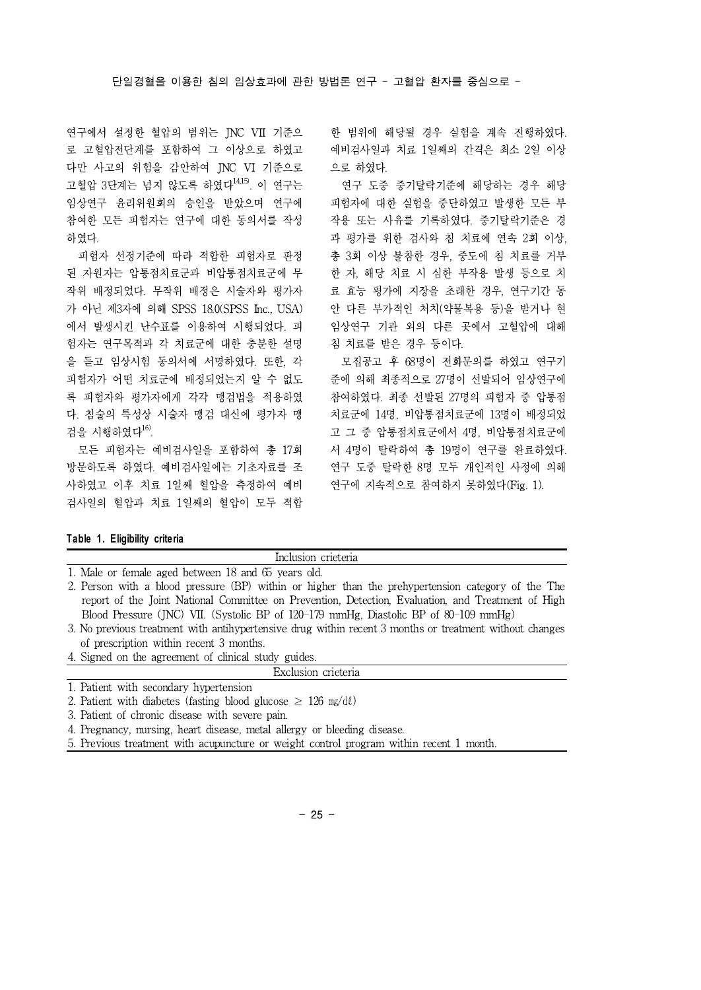연구에서 설정한 혈압의 범위는 JNC VII 기준으 로 고혈압전단계를 포함하여 그 이상으로 하였고 다만 사고의 위험을 감안하여 JNC VI 기준으로 고혈압 3단계는 넘지 않도록 하였다14,15). 이 연구는 임상연구 윤리위원회의 승인을 받았으며 연구에 참여한 모든 피험자는 연구에 대한 동의서를 작성 하였다.

피험자 선정기준에 따라 적합한 피험자로 판정 된 자원자는 압통점치료군과 비압통점치료군에 무 작위 배정되었다. 무작위 배정은 시술자와 평가자 가 아닌 제3자에 의해 SPSS18.0(SPSS Inc., USA) 에서 발생시킨 난수표를 이용하여 시행되었다. 피 험자는 연구목적과 각 치료군에 대한 충분한 설명 을 듣고 임상시험 동의서에 서명하였다. 또한, 각 피험자가 어떤 치료군에 배정되었는지 알 수 없도 록 피험자와 평가자에게 각각 맹검법을 적용하였 다. 침술의 특성상 시술자 맹검 대신에 평가자 맹 검을 시행하였다16).

모든 피험자는 예비검사일을 포함하여 총 17회 방문하도록 하였다. 예비검사일에는 기초자료를 조 사하였고 이후 치료 1일째 혈압을 측정하여 예비 검사일의 혈압과 치료 1일째의 혈압이 모두 적합

한 범위에 해당될 경우 실험을 계속 진행하였다. 예비검사일과 치료 1일째의 간격은 최소 2일 이상 으로 하였다.

연구 도중 중기탈락기준에 해당하는 경우 해당 피험자에 대한 실험을 중단하였고 발생한 모든 부 작용 또는 사유를 기록하였다. 중기탈락기준은 경 과 평가를 위한 검사와 침 치료에 연속 2회 이상, 총 3회 이상 불참한 경우, 중도에 침 치료를 거부 한 자, 해당 치료 시 심한 부작용 발생 등으로 치 료 효능 평가에 지장을 초래한 경우, 연구기간 동 안 다른 부가적인 처치(약물복용 등)을 받거나 현 임상연구 기관 외의 다른 곳에서 고혈압에 대해 침 치료를 받은 경우 등이다.

모집공고 후 68명이 전화문의를 하였고 연구기 준에 의해 최종적으로 27명이 선발되어 임상연구에 참여하였다. 최종 선발된 27명의 피험자 중 압통점 치료군에 14명, 비압통점치료군에 13명이 배정되었 고 그 중 압통점치료군에서 4명, 비압통점치료군에 서 4명이 탈락하여 총 19명이 연구를 완료하였다. 연구 도중 탈락한 8명 모두 개인적인 사정에 의해 연구에 지속적으로 참여하지 못하였다(Fig. 1).

#### **Table 1. Eligibility criteria**

| Inclusion crieteria                                                                                |
|----------------------------------------------------------------------------------------------------|
| 1. Male or female aged between 18 and 65 years old.                                                |
| 2. Person with a blood pressure (BP) within or higher than the prehypertension category of the The |
| report of the Joint National Committee on Prevention, Detection, Evaluation, and Treatment of High |
| Blood Pressure (JNC) VII. (Systolic BP of 120-179 mmHg, Diastolic BP of 80-109 mmHg)               |
|                                                                                                    |

- 3. No previous treatment with antihypertensive drug within recent 3 months or treatment without changes of prescription within recent 3 months.
- 4. Signed on the agreement of clinical study guides.

|  | Exclusion crieteria |
|--|---------------------|

1. Patient with secondary hypertension

- 2. Patient with diabetes (fasting blood glucose  $\geq 126$  mg/dl)
- 3. Patient of chronic disease with severe pain.

4. Pregnancy, nursing, heart disease, metal allergy or bleeding disease.

5. Previous treatment with acupuncture or weight control program within recent 1 month.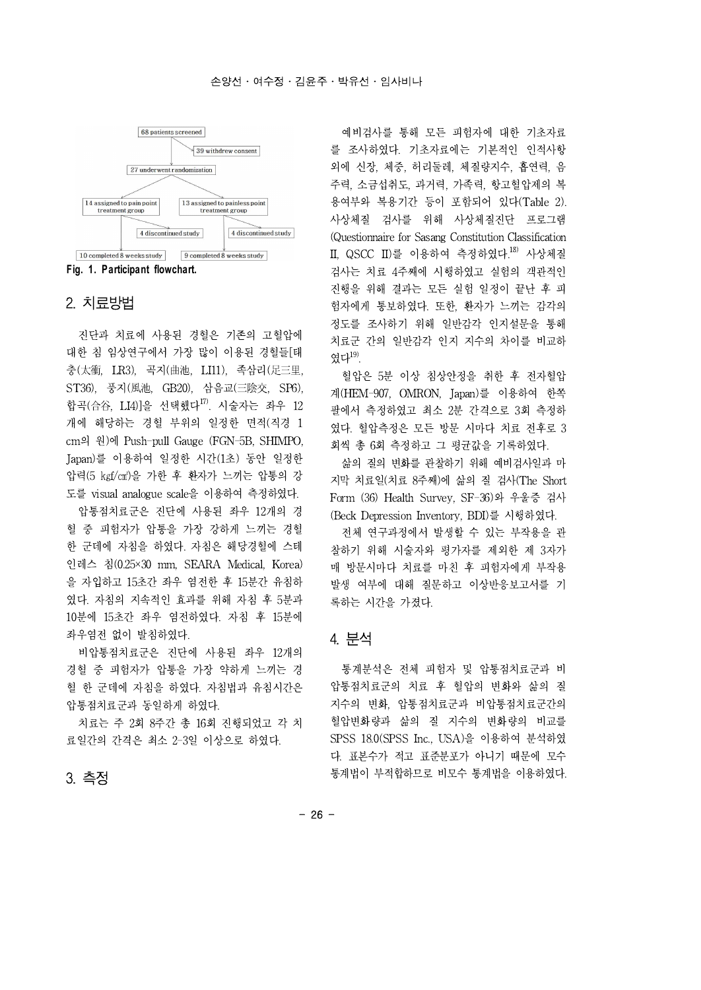

**Fig. 1. Participant flowchart.**

### 2. 치료방법

진단과 치료에 사용된 경혈은 기존의 고혈압에 대한 침 임상연구에서 가장 많이 이용된 경혈들[태 충(太衝, LR3), 곡지(曲池, LI11), 족삼리(足三里, ST36), 풍지(風池, GB20), 삼음교(三陰交, SP6), 합곡(合谷, LI4)]을 선택했다<sup>17)</sup>. 시술자는 좌우 12 개에 해당하는 경혈 부위의 일정한 면적(직경 1 cm의 원)에 Push-pull Gauge (FGN-5B, SHIMPO, Japan)를 이용하여 일정한 시간(1초) 동안 일정한 압력(5 ㎏f/㎠)을 가한 후 환자가 느끼는 압통의 강 도를 visual analogue scale을 이용하여 측정하였다.

압통점치료군은 진단에 사용된 좌우 12개의 경 혈 중 피험자가 압통을 가장 강하게 느끼는 경혈 한 군데에 자침을 하였다. 자침은 해당경혈에 스테 인레스 침(0.25×30 mm, SEARA Medical, Korea) 을 자입하고 15초간 좌우 염전한 후 15분간 유침하 였다. 자침의 지속적인 효과를 위해 자침 후 5분과 10분에 15초간 좌우 염전하였다. 자침 후 15분에 좌우염전 없이 발침하였다.

비압통점치료군은 진단에 사용된 좌우 12개의 경혈 중 피험자가 압통을 가장 약하게 느끼는 경 혈 한 군데에 자침을 하였다. 자침법과 유침시간은 압통점치료군과 동일하게 하였다.

치료는 주 2회 8주간 총 16회 진행되었고 각 치 료일간의 간격은 최소 2-3일 이상으로 하였다.

#### 3. 측정

예비검사를 통해 모든 피험자에 대한 기초자료 를 조사하였다. 기초자료에는 기본적인 인적사항 외에 신장, 체중, 허리둘레, 체질량지수, 흡연력, 음 주력, 소금섭취도, 과거력, 가족력, 항고혈압제의 복 용여부와 복용기간 등이 포함되어 있다(Table 2). 사상체질 검사를 위해 사상체질진단 프로그램 (Questionnaire for Sasang Constitution Classification II, QSCC II)를 이용하여 측정하였다.18) 사상체질 검사는 치료 4주째에 시행하였고 실험의 객관적인 진행을 위해 결과는 모든 실험 일정이 끝난 후 피 험자에게 통보하였다. 또한, 환자가 느끼는 감각의 정도를 조사하기 위해 일반감각 인지설문을 통해 치료군 간의 일반감각 인지 지수의 차이를 비교하 였다 $19$ .

혈압은 5분 이상 침상안정을 취한 후 전자혈압 계(HEM-907, OMRON, Japan)를 이용하여 한쪽 팔에서 측정하였고 최소 2분 간격으로 3회 측정하 였다. 혈압측정은 모든 방문 시마다 치료 전후로 3 회씩 총 6회 측정하고 그 평균값을 기록하였다.

삶의 질의 변화를 관찰하기 위해 예비검사일과 마 지막 치료일(치료 8주째)에 삶의 질 검사(The Short Form (36) Health Survey, SF-36)와 우울증 검사 (Beck Depression Inventory, BDI)를 시행하였다.

전체 연구과정에서 발생할 수 있는 부작용을 관 찰하기 위해 시술자와 평가자를 제외한 제 3자가 매 방문시마다 치료를 마친 후 피험자에게 부작용 발생 여부에 대해 질문하고 이상반응보고서를 기 록하는 시간을 가졌다.

### 4. 분석

통계분석은 전체 피험자 및 압통점치료군과 비 압통점치료군의 치료 후 혈압의 변화와 삶의 질 지수의 변화, 압통점치료군과 비압통점치료군간의 혈압변화량과 삶의 질 지수의 변화량의 비교를 SPSS 18.0(SPSS Inc., USA)을 이용하여 분석하였 다. 표본수가 적고 표준분포가 아니기 때문에 모수 통계법이 부적합하므로 비모수 통계법을 이용하였다.

- 26 -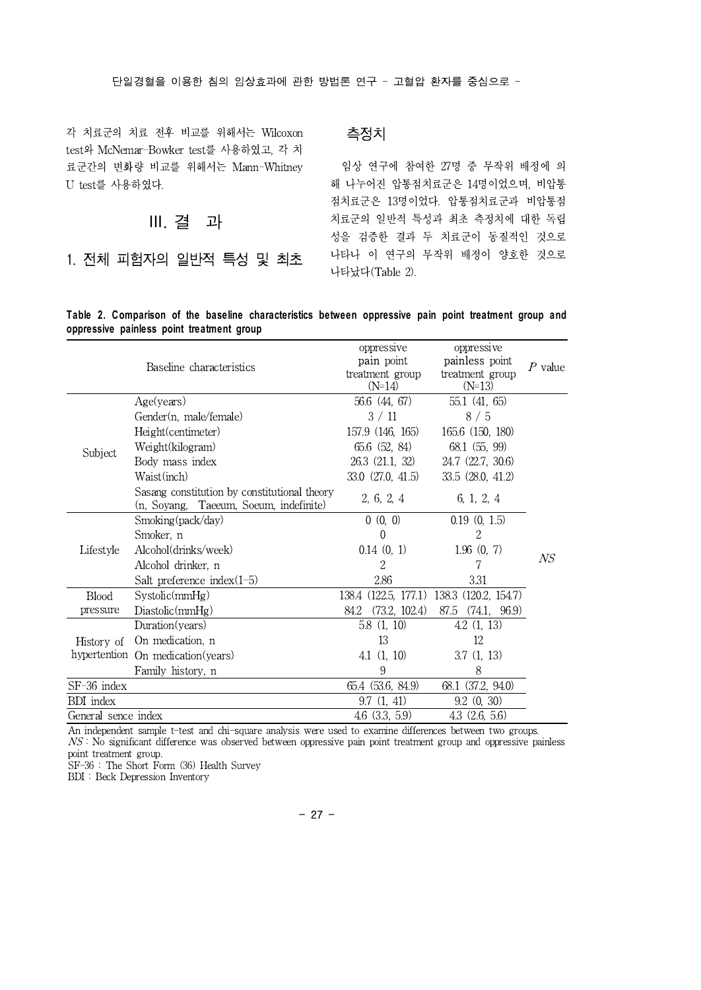#### 단일경혈을 이용한 침의 임상효과에 관한 방법론 연구 -고혈압 환자를 중심으로 -

각 치료군의 치료 전후 비교를 위해서는 Wilcoxon test와 McNemar-Bowker test를 사용하였고, 각 치 료군간의 변화량 비교를 위해서는 Mann-Whitney U test를 사용하였다.

Ⅲ. 결 과

1. 전체 피험자의 일반적 특성 및 최초

측정치

임상 연구에 참여한 27명 중 무작위 배정에 의 해 나누어진 압통점치료군은 14명이었으며, 비압통 점치료군은 13명이었다. 압통점치료군과 비압통점 치료군의 일반적 특성과 최초 측정치에 대한 독립 성을 검증한 결과 두 치료군이 동질적인 것으로 나타나 이 연구의 무작위 배정이 양호한 것으로 나타났다(Table 2).

#### **Table 2. Comparison of the baseline characteristics between oppressive pain point treatment group and oppressive painless point treatment group**

|                     | Baseline characteristics                                                               | oppressive<br>pain point<br>treatment group<br>$(N=14)$ | oppressive<br>painless point<br>treatment group<br>$(N=13)$ | $P$ value |
|---------------------|----------------------------------------------------------------------------------------|---------------------------------------------------------|-------------------------------------------------------------|-----------|
|                     | Age(years)                                                                             | 56.6 (44, 67)                                           | 55.1(41, 65)                                                |           |
|                     | Gender(n, male/female)                                                                 | 3/11                                                    | 8/5                                                         |           |
|                     | Height(centimeter)                                                                     | 157.9 (146, 165)                                        | 165.6 (150, 180)                                            |           |
| Subject             | Weight(kilogram)                                                                       | 65.6 (52, 84)                                           | 68.1 (55, 99)                                               |           |
|                     | Body mass index                                                                        | 26.3 (21.1, 32)                                         | $24.7$ $(22.7, 30.6)$                                       |           |
|                     | Waist(inch)                                                                            | 33.0 (27.0, 41.5)                                       | 33.5 (28.0, 41.2)                                           |           |
|                     | Sasang constitution by constitutional theory<br>(n, Soyang, Taeeum, Soeum, indefinite) | 2, 6, 2, 4                                              | 6, 1, 2, 4                                                  |           |
|                     | Smoking(pack/day)                                                                      | 0(0, 0)                                                 | 0.19(0, 1.5)                                                |           |
|                     | Smoker, n                                                                              | $\theta$                                                | 2                                                           |           |
| Lifestyle           | Alcohol(drinks/week)                                                                   | 0.14(0, 1)                                              | 1.96(0, 7)                                                  |           |
|                     | Alcohol drinker, n                                                                     | $\overline{2}$                                          | 7                                                           | NS        |
|                     | Salt preference index $(1-5)$                                                          | 2.86                                                    | 3.31                                                        |           |
| <b>Blood</b>        | Systeming()                                                                            | 138.4 (122.5, 177.1)                                    | 138.3 (120.2, 154.7)                                        |           |
| pressure            | Diastolic(mmHg)                                                                        | (73.2, 102.4)<br>84.2                                   | 87.5 (74.1, 96.9)                                           |           |
|                     | Duration(years)                                                                        | 5.8(1, 10)                                              | 4.2(1, 13)                                                  |           |
| History of          | On medication, n                                                                       | 13                                                      | 12                                                          |           |
| hypertention        | On medication (years)                                                                  | 4.1(1, 10)                                              | 3.7(1, 13)                                                  |           |
|                     | Family history, n                                                                      | 9                                                       | 8                                                           |           |
| SF-36 index         |                                                                                        | 65.4 (53.6, 84.9)                                       | 68.1 (37.2, 94.0)                                           |           |
| <b>BDI</b> index    |                                                                                        | 9.7(1, 41)                                              | 9.2(0, 30)                                                  |           |
| General sence index |                                                                                        | $4.6$ $(3.3, 5.9)$                                      | $4.3$ $(2.6, 5.6)$                                          |           |

An independent sample t-test and chi-square analysis were used to examine differences between two groups. NS : No significant difference was observed between oppressive pain point treatment group and oppressive painless point treatment group.

SF-36 : The Short Form (36) Health Survey

BDI : Beck Depression Inventory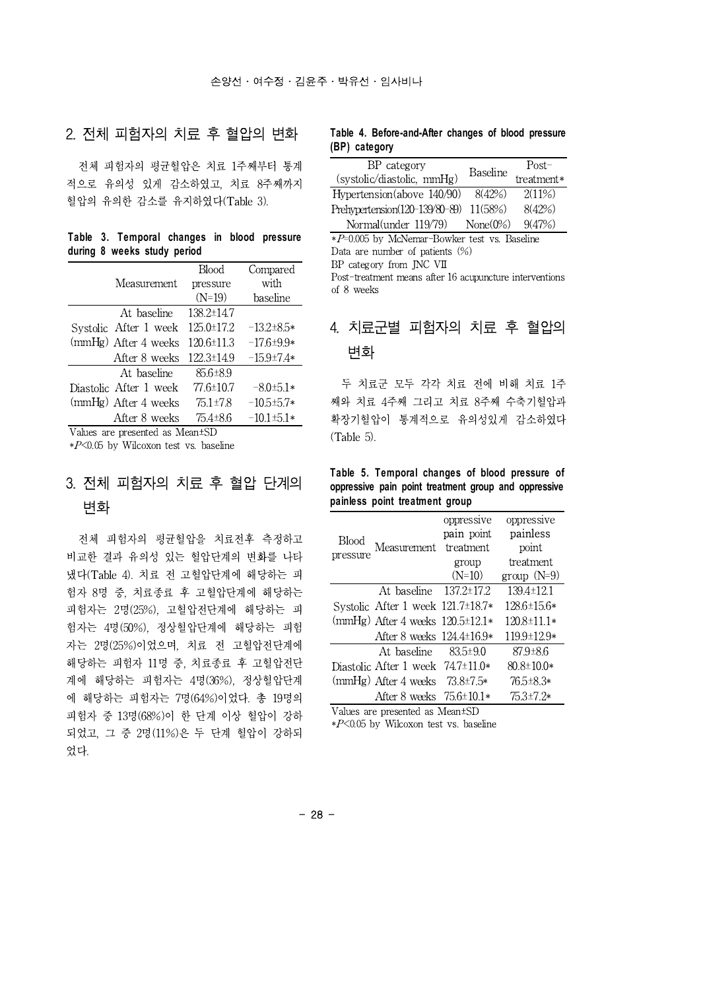### 2. 전체 피험자의 치료 후 혈압의 변화

전체 피험자의 평균혈압은 치료 1주째부터 통계 적으로 유의성 있게 감소하였고, 치료 8주째까지 혈압의 유의한 감소를 유지하였다(Table 3).

**Table 3. Temporal changes in blood pressure during 8 weeks study period**

|                        | Blood            | Compared         |
|------------------------|------------------|------------------|
| Measurement            | pressure         | with             |
|                        | $(N=19)$         | baseline         |
| At baseline            | $138.2 \pm 14.7$ |                  |
| Systolic After 1 week  | $125.0 \pm 17.2$ | $-13.2+8.5*$     |
| (mmHg) After 4 weeks   | 120.6±11.3       | $-17.6+9.9*$     |
| After 8 weeks          | 122.3±14.9       | $-15.9 \pm 7.4*$ |
| At baseline            | $85.6 \pm 8.9$   |                  |
| Diastolic After 1 week | $77.6 \pm 10.7$  | $-8.0 \pm 5.1*$  |
| (mmHg) After 4 weeks   | $75.1 \pm 7.8$   | $-10.5 \pm 5.7*$ |
| After 8 weeks          | $75.4 \pm 8.6$   | $-10.1 \pm 5.1*$ |

Values are presented as Mean±SD

 $*P<0.05$  by Wilcoxon test vs. baseline

# 3. 전체 피험자의 치료 후 혈압 단계의 변화

전체 피험자의 평균혈압을 치료전후 측정하고 비교한 결과 유의성 있는 혈압단계의 변화를 나타 냈다(Table 4). 치료 전 고혈압단계에 해당하는 피 험자 8명 중, 치료종료 후 고혈압단계에 해당하는 피험자는 2명(25%), 고혈압전단계에 해당하는 피 험자는 4명(50%), 정상혈압단계에 해당하는 피험 자는 2명(25%)이었으며, 치료 전 고혈압전단계에 해당하는 피험자 11명 중, 치료종료 후 고혈압전단 계에 해당하는 피험자는 4명(36%), 정상혈압단계 에 해당하는 피험자는 7명(64%)이었다. 총 19명의 피험자 중 13명(68%)이 한 단계 이상 혈압이 강하 되었고, 그 중 2명(11%)은 두 단계 혈압이 강하되 었다.

#### **Table 4. Before-and-After changes of blood pressure (BP) category**

| BP category<br>(systolic/diastolic, mmHg) | Baseline     | $Post-$<br>treatment* |
|-------------------------------------------|--------------|-----------------------|
| Hypertension(above 140/90)                | 8(42%)       | 2(11%)                |
| Prehypertension(120-139/80-89) 11(58%)    |              | 8(42%)                |
| Normal(under 119/79)                      | None $(0\%)$ | 9(47%)                |

 $*P=0.005$  by McNemar-Bowker test vs. Baseline Data are number of patients (%) BP category from JNC VII

Post-treatment means after 16 acupuncture interventions of 8 weeks

# 4. 치료군별 피험자의 치료 후 혈압의 변화

두 치료군 모두 각각 치료 전에 비해 치료 1주 째와 치료 4주째 그리고 치료 8주째 수축기혈압과 확장기혈압이 통계적으로 유의성있게 감소하였다 (Table 5).

**Table 5. Temporal changes of blood pressure of oppressive pain point treatment group and oppressive painless point treatment group**

| Blood    | Measurement treatment                  | oppressive<br>pain point | oppressive<br>painless<br>point |
|----------|----------------------------------------|--------------------------|---------------------------------|
| pressure |                                        | group<br>$(N=10)$        | treatment<br>group $(N=9)$      |
|          | At baseline $137.2 \pm 17.2$           |                          | $139.4 \pm 12.1$                |
|          | Systolic After 1 week $121.7\pm18.7*$  |                          | $128.6\pm15.6*$                 |
|          | (mmHg) After 4 weeks $120.5 \pm 12.1*$ |                          | $120.8 \pm 11.1*$               |
|          | After 8 weeks $124.4\pm16.9*$          |                          | $119.9 \pm 12.9*$               |
|          | At baseline                            | 83.5±90                  | 87.9±8.6                        |
|          | Diastolic After 1 week $74.7\pm11.0*$  |                          | $80.8 \pm 10.0*$                |
|          | (mmHg) After 4 weeks $73.8\pm7.5*$     |                          | 76.5±8.3*                       |
|          | After 8 weeks $75.6\pm10.1*$           |                          | $75.3 \pm 7.2*$                 |

Values are presented as Mean±SD

 $*P<0.05$  by Wilcoxon test vs. baseline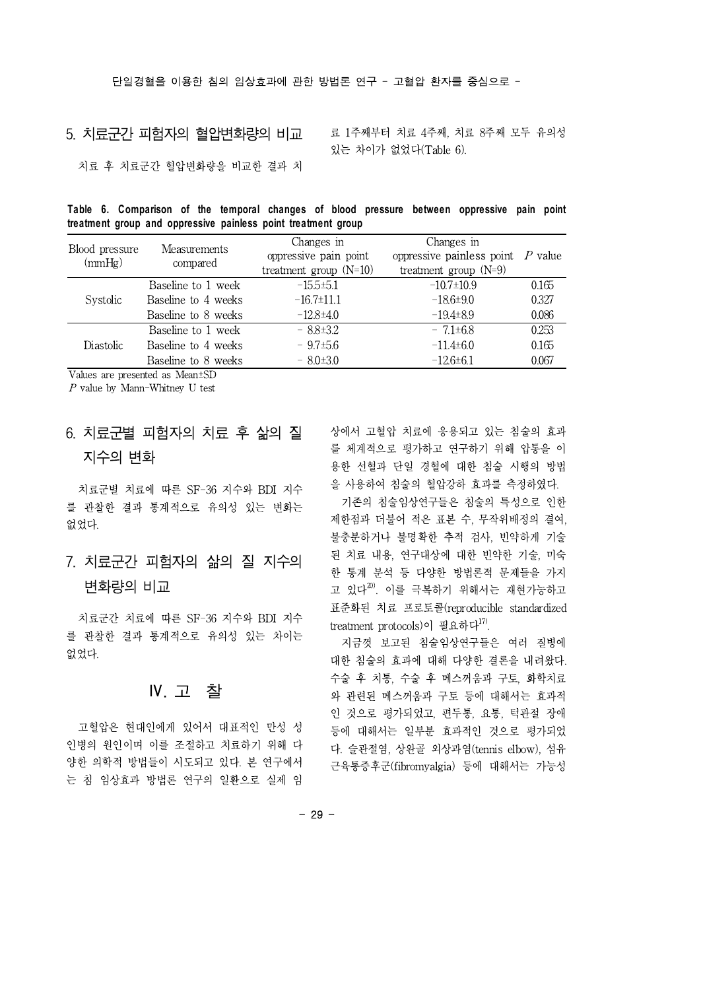### 5. 치료군간 피험자의 혈압변화량의 비교

료 1주째부터 치료 4주째, 치료 8주째 모두 유의성 있는 차이가 없었다(Table 6).

치료 후 치료군간 혈압변화량을 비교한 결과 치

|                                                               |  |  | Table 6. Comparison of the temporal changes of blood pressure between oppressive pain point |  |  |  |
|---------------------------------------------------------------|--|--|---------------------------------------------------------------------------------------------|--|--|--|
| treatment group and oppressive painless point treatment group |  |  |                                                                                             |  |  |  |

| Blood pressure<br>(mmHg) | <b>Measurements</b><br>compared | Changes in<br>oppressive pain point<br>treatment group $(N=10)$ | Changes in<br>oppressive <b>painless</b> point $P$ value<br>treatment group $(N=9)$ |       |
|--------------------------|---------------------------------|-----------------------------------------------------------------|-------------------------------------------------------------------------------------|-------|
|                          | Baseline to 1 week              | $-15.5+5.1$                                                     | $-10.7 \pm 10.9$                                                                    | 0.165 |
| <i>Systolic</i>          | Baseline to 4 weeks             | $-16.7 \pm 11.1$                                                | $-18.6+9.0$                                                                         | 0.327 |
|                          | Baseline to 8 weeks             | $-12.8{\pm}4.0$                                                 | $-19.4\pm8.9$                                                                       | 0.086 |
|                          | Baseline to 1 week              | $-8.8\pm3.2$                                                    | $-7.1\pm 6.8$                                                                       | 0.253 |
| Diastolic                | Baseline to 4 weeks             | $-9.7\pm5.6$                                                    | $-11.4\pm 6.0$                                                                      | 0.165 |
|                          | Baseline to 8 weeks             | $-8.0\pm3.0$                                                    | $-12.6+6.1$                                                                         | 0.067 |

Values are presented as Mean±SD

P value by Mann-Whitney U test

# 6. 치료군별 피험자의 치료 후 삶의 질 지수의 변화

치료군별 치료에 따른 SF-36 지수와 BDI 지수 를 관찰한 결과 통계적으로 유의성 있는 변화는 없었다.

## 7. 치료군간 피험자의 삶의 질 지수의 변화량의 비교

치료군간 치료에 따른 SF-36 지수와 BDI 지수 를 관찰한 결과 통계적으로 유의성 있는 차이는 없었다.

### Ⅳ. 고 찰

고혈압은 현대인에게 있어서 대표적인 만성 성 인병의 원인이며 이를 조절하고 치료하기 위해 다 양한 의학적 방법들이 시도되고 있다. 본 연구에서 는 침 임상효과 방법론 연구의 일환으로 실제 임 상에서 고혈압 치료에 응용되고 있는 침술의 효과 를 체계적으로 평가하고 연구하기 위해 압통을 이 용한 선혈과 단일 경혈에 대한 침술 시행의 방법 을 사용하여 침술의 혈압강하 효과를 측정하였다.

기존의 침술임상연구들은 침술의 특성으로 인한 제한점과 더불어 적은 표본 수, 무작위배정의 결여, 불충분하거나 불명확한 추적 검사, 빈약하게 기술 된 치료 내용, 연구대상에 대한 빈약한 기술, 미숙 한 통계 분석 등 다양한 방법론적 문제들을 가지 고 있다 $^{20)}$ . 이를 극복하기 위해서는 재현가능하고 표준화된 치료 프로토콜(reproducible standardized treatment protocols)이 필요하다<sup>17)</sup>.

지금껏 보고된 침술임상연구들은 여러 질병에 대한 침술의 효과에 대해 다양한 결론을 내려왔다. 수술 후 치통, 수술 후 메스꺼움과 구토, 화학치료 와 관련된 메스꺼움과 구토 등에 대해서는 효과적 인 것으로 평가되었고, 편두통, 요통, 턱관절 장애 등에 대해서는 일부분 효과적인 것으로 평가되었 다. 슬관절염, 상완골 외상과염(tennis elbow), 섬유 근육통증후군(fibromyalgia) 등에 대해서는 가능성

- 29 -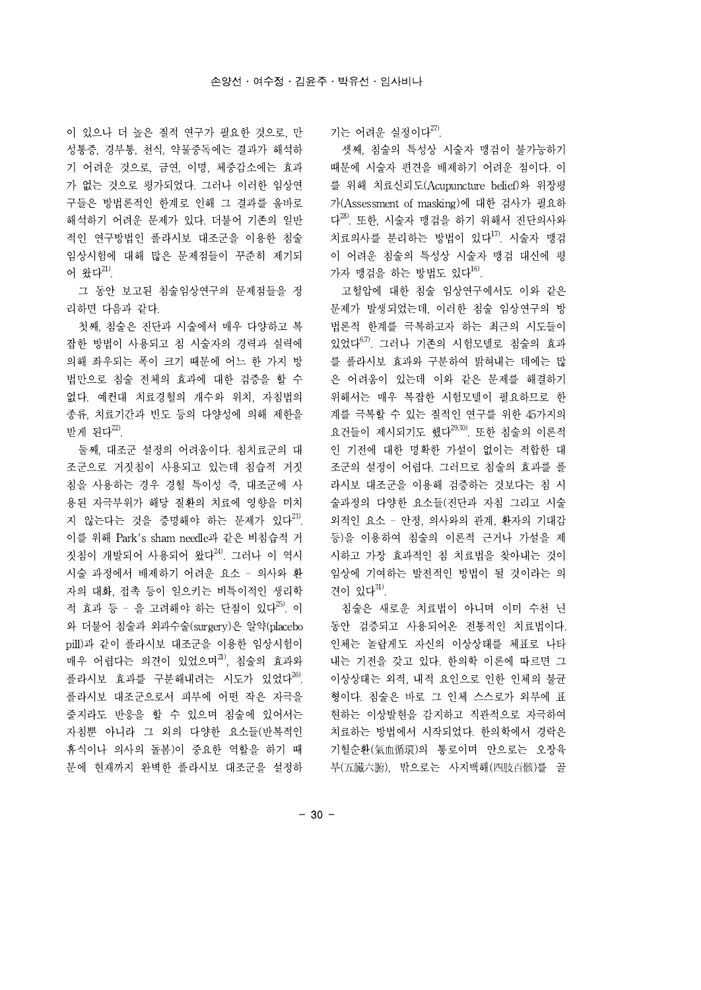이 있으나 더 높은 질적 연구가 필요한 것으로, 만 성통증, 경부통, 천식, 약물중독에는 결과가 해석하 기 어려운 것으로, 금연,이명, 체중감소에는 효과 가 없는 것으로 평가되었다. 그러나 이러한 임상연 구들은 방법론적인 한계로 인해 그 결과를 올바로 해석하기 어려운 문제가 있다. 더불어 기존의 일반 적인 연구방법인 플라시보 대조군을 이용한 침술 임상시험에 대해 많은 문제점들이 꾸준히 제기되 어 왔다 $^{21}$ .

그 동안 보고된 침술임상연구의 문제점들을 정 리하면 다음과 같다.

첫째, 침술은 진단과 시술에서 매우 다양하고 복 잡한 방법이 사용되고 침 시술자의 경력과 실력에 의해 좌우되는 폭이 크기 때문에 어느 한 가지 방 법만으로 침술 전체의 효과에 대한 검증을 할 수 없다. 예컨대 치료경혈의 개수와 위치, 자침법의 종류, 치료기간과 빈도 등의 다양성에 의해 제한을 받게 된다 $^{22}$ .

둘째, 대조군 설정의 어려움이다. 침치료군의 대 조군으로 거짓침이 사용되고 있는데 침습적 거짓 침을 사용하는 경우 경혈 특이성 즉, 대조군에 사 용된 자극부위가 해당 질환의 치료에 영향을 미치 지 않는다는 것을 증명해야 하는 문제가 있다<sup>23)</sup>. 이를 위해 Park's sham needle과 같은 비침습적 거 짓침이 개발되어 사용되어 왔다 $^{24}$ . 그러나 이 역시 시술 과정에서 배제하기 어려운 요소 - 의사와 환 자의 대화, 접촉 등이 일으키는 비특이적인 생리학 적 효과 등 - 을 고려해야 하는 단점이 있다<sup>25)</sup>. 이 와 더불어 침술과 외과수술(surgery)은 알약(placebo pill)과 같이 플라시보 대조군을 이용한 임상시험이 매우 어렵다는 의견이 있었으며21, 침술의 효과와 플라시보 효과를 구분해내려는 시도가 있었다<sup>26)</sup>. 플라시보 대조군으로서 피부에 어떤 작은 자극을 줄지라도 반응을 할 수 있으며 침술에 있어서는 자침뿐 아니라 그 외의 다양한 요소들(반복적인 휴식이나 의사의 돌봄)이 중요한 역할을 하기 때 문에 현재까지 완벽한 플라시보 대조군을 설정하 기는 어려운 실정이다 $^{27}$ .

셋째, 침술의 특성상 시술자 맹검이 불가능하기 때문에 시술자 편견을 배제하기 어려운 점이다. 이 를 위해 치료신뢰도(Acupuncture belief)와 위장평 가(Assessment of masking)에 대한 검사가 필요하 다 28). 또한, 시술자 맹검을 하기 위해서 진단의사와 치료의사를 분리하는 방법이 있다<sup>17)</sup>. 시술자 맹검 이 어려운 침술의 특성상 시술자 맹검 대신에 평 가자 맹검을 하는 방법도 있다 $^{16}$ .

고혈압에 대한 침술 임상연구에서도 이와 같은 문제가 발생되었는데, 이러한 침술 임상연구의 방 법론적 한계를 극복하고자 하는 최근의 시도들이 있었다6,7). 그러나 기존의 시험모델로 침술의 효과 를 플라시보 효과와 구분하여 밝혀내는 데에는 많 은 어려움이 있는데 이와 같은 문제를 해결하기 위해서는 매우 복잡한 시험모델이 필요하므로 한 계를 극복할 수 있는 질적인 연구를 위한 45가지의 요건들이 제시되기도 했다<sup>29,30)</sup>. 또한 침술의 이론적 인 기전에 대한 명확한 가설이 없이는 적합한 대 조군의 설정이 어렵다. 그러므로 침술의 효과를 플 라시보 대조군을 이용해 검증하는 것보다는 침 시 술과정의 다양한 요소들(진단과 자침 그리고 시술 외적인 요소 - 안정, 의사와의 관계, 환자의 기대감 등)을 이용하여 침술의 이론적 근거나 가설을 제 시하고 가장 효과적인 침 치료법을 찾아내는 것이 임상에 기여하는 발전적인 방법이 될 것이라는 의 견이 있다 $31$ .

침술은 새로운 치료법이 아니며 이미 수천 년 동안 검증되고 사용되어온 전통적인 치료법이다. 인체는 놀랍게도 자신의 이상상태를 체표로 나타 내는 기전을 갖고 있다. 한의학 이론에 따르면 그 이상상태는 외적, 내적 요인으로 인한 인체의 불균 형이다. 침술은 바로 그 인체 스스로가 외부에 표 현하는 이상발현을 감지하고 직관적으로 자극하여 치료하는 방법에서 시작되었다. 한의학에서 경락은 기혈순환(氣血循環)의 통로이며 안으로는 오장육 부(五臟六腑), 밖으로는 사지백해(四肢百骸)를 골

- 30 -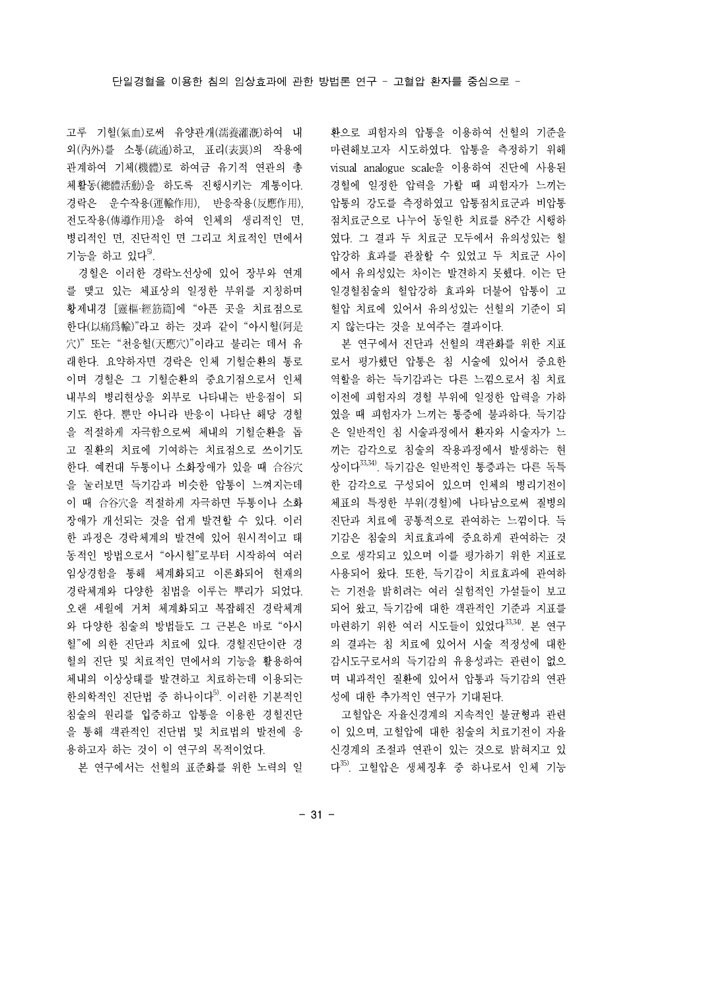고루 기혈(氣血)로써 유양관개(濡養灌漑)하여 내 외(內外)를 소통(疏通)하고, 표리(表裏)의 작용에 관계하여 기체(機體)로 하여금 유기적 연관의 총 체활동(總體活動)을 하도록 진행시키는 계통이다. 경락은 운수작용(運輸作用), 반응작용(反應作用), 전도작용(傳導作用)을 하여 인체의 생리적인 면, 병리적인 면, 진단적인 면 그리고 치료적인 면에서 기능을 하고 있다 $5$ .

경혈은 이러한 경락노선상에 있어 장부와 연계 를 맺고 있는 체표상의 일정한 부위를 지칭하며 황제내경 [靈樞·經筋篇]에 "아픈 곳을 치료점으로 한다(以痛爲輸)"라고 하는 것과 같이 "아시혈(阿是 穴)" 또는 "천응혈(天應穴)"이라고 불리는 데서 유 래한다. 요약하자면 경락은 인체 기혈순환의 통로 이며 경혈은 그 기혈순환의 중요기점으로서 인체 내부의 병리현상을 외부로 나타내는 반응점이 되 기도 한다. 뿐만 아니라 반응이 나타난 해당 경혈 을 적절하게 자극함으로써 체내의 기혈순환을 돕 고 질환의 치료에 기여하는 치료점으로 쓰이기도 한다. 예컨대 두통이나 소화장애가 있을 때 合谷穴 을 눌러보면 득기감과 비슷한 압통이 느껴지는데 이 때 合谷穴을 적절하게 자극하면 두통이나 소화 장애가 개선되는 것을 쉽게 발견할 수 있다. 이러 한 과정은 경락체계의 발견에 있어 원시적이고 태 동적인 방법으로서 "아시혈"로부터 시작하여 여러 임상경험을 통해 체계화되고 이론화되어 현재의 경락체계와 다양한 침법을 이루는 뿌리가 되었다. 오랜 세월에 거쳐 체계화되고 복잡해진 경락체계 와 다양한 침술의 방법들도 그 근본은 바로 "아시 혈"에 의한 진단과 치료에 있다.경혈진단이란 경 혈의 진단 및 치료적인 면에서의 기능을 활용하여 체내의 이상상태를 발견하고 치료하는데 이용되는 한의학적인 진단법 중 하나이다<sup>5)</sup>. 이러한 기본적인 침술의 원리를 입증하고 압통을 이용한 경혈진단 을 통해 객관적인 진단법 및 치료법의 발전에 응 용하고자 하는 것이 이 연구의 목적이었다.

본 연구에서는 선혈의 표준화를 위한 노력의 일

환으로 피험자의 압통을 이용하여 선혈의 기준을 마련해보고자 시도하였다. 압통을 측정하기 위해 visual analogue scale을 이용하여 진단에 사용된 경혈에 일정한 압력을 가할 때 피험자가 느끼는 압통의 강도를 측정하였고 압통점치료군과 비압통 점치료군으로 나누어 동일한 치료를 8주간 시행하 였다. 그 결과 두 치료군 모두에서 유의성있는 혈 압강하 효과를 관찰할 수 있었고 두 치료군 사이 에서 유의성있는 차이는 발견하지 못했다. 이는 단 일경혈침술의 혈압강하 효과와 더불어 압통이 고 혈압 치료에 있어서 유의성있는 선혈의 기준이 되 지 않는다는 것을 보여주는 결과이다.

본 연구에서 진단과 선혈의 객관화를 위한 지표 로서 평가했던 압통은 침 시술에 있어서 중요한 역할을 하는 득기감과는 다른 느낌으로서 침 치료 이전에 피험자의 경혈 부위에 일정한 압력을 가하 였을 때 피험자가 느끼는 통증에 불과하다. 득기감 은 일반적인 침 시술과정에서 환자와 시술자가 느 끼는 감각으로 침술의 작용과정에서 발생하는 현 상이다33,34). 득기감은 일반적인 통증과는 다른 독특 한 감각으로 구성되어 있으며 인체의 병리기전이 체표의 특정한 부위(경혈)에 나타남으로써 질병의 진단과 치료에 공통적으로 관여하는 느낌이다. 득 기감은 침술의 치료효과에 중요하게 관여하는 것 으로 생각되고 있으며 이를 평가하기 위한 지표로 사용되어 왔다. 또한, 득기감이 치료효과에 관여하 는 기전을 밝히려는 여러 실험적인 가설들이 보고 되어 왔고, 득기감에 대한 객관적인 기준과 지표를 마련하기 위한 여러 시도들이 있었다33,34). 본 연구 의 결과는 침 치료에 있어서 시술 적정성에 대한 감시도구로서의 득기감의 유용성과는 관련이 없으 며 내과적인 질환에 있어서 압통과 득기감의 연관 성에 대한 추가적인 연구가 기대된다.

고혈압은 자율신경계의 지속적인 불균형과 관련 이 있으며, 고혈압에 대한 침술의 치료기전이 자율 신경계의 조절과 연관이 있는 것으로 밝혀지고 있 다 35). 고혈압은 생체징후 중 하나로서 인체 기능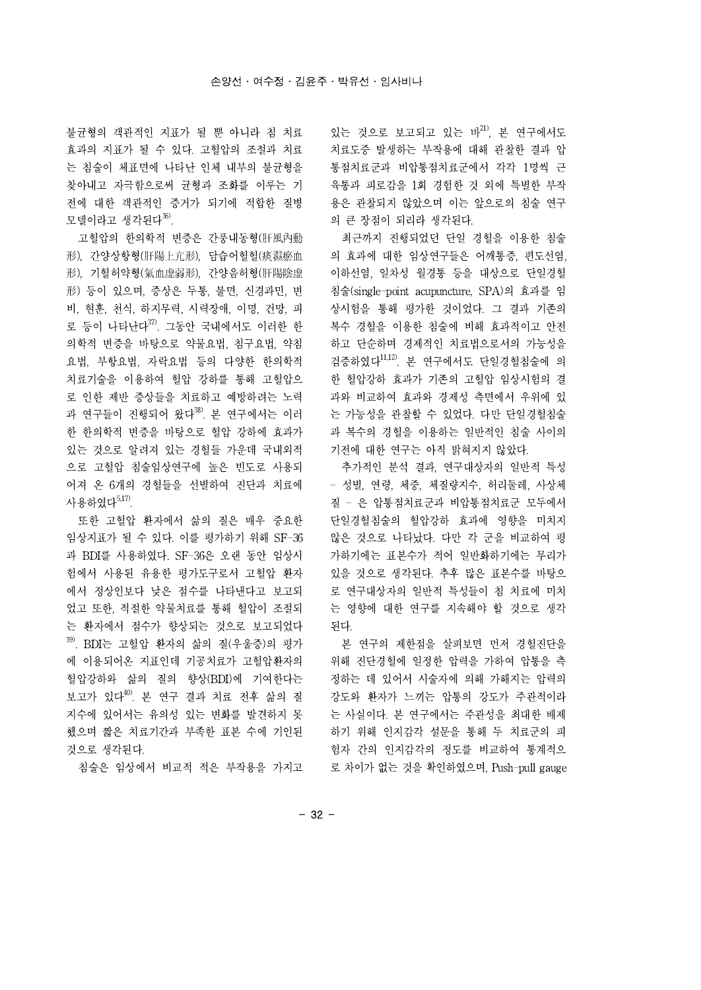불균형의 객관적인 지표가 될 뿐 아니라 침 치료 효과의 지표가 될 수 있다. 고혈압의 조절과 치료 는 침술이 체표면에 나타난 인체 내부의 불균형을 찾아내고 자극함으로써 균형과 조화를 이루는 기 전에 대한 객관적인 증거가 되기에 적합한 질병 모델이라고 생각된다 $36$ .

고혈압의 한의학적 변증은 간풍내동형(肝風內動 形), 간양상항형(肝陽上亢形), 담습어혈혈(痰濕瘀血 形), 기혈허약형(氣血虛弱形), 간양음허형(肝陽陰虛 形) 등이 있으며, 증상은 두통, 불면, 신경과민, 변 비, 현훈, 천식, 하지무력, 시력장애, 이명, 건망, 피 로 등이 나타난다<sup>37)</sup>. 그동안 국내에서도 이러한 한 복수 경혈을 의학적 변증을 바탕으로 약물요법, 침구요법, 약침 요법, 부항요법, 자락요법 등의 다양한 한의학적 치료기술을 이용하여 혈압 강하를 통해 고혈압으 로 인한 제반 증상들을 치료하고 예방하려는 노력 과 연구들이 진행되어 왔다 $^{38}$ . 본 연구에서는 이러 한 한의학적 변증을 바탕으로 혈압 강하에 효과가 있는 것으로 알려져 있는 경혈들 가운데 국내외적 으로 고혈압 침술임상연구에 높은 빈도로 사용되 어져 온 6개의 경혈들을 선별하여 진단과 치료에 사용하였다5,17).

또한 고혈압 환자에서 삶의 질은 매우 중요한 임상지표가 될 수 있다. 이를 평가하기 위해 SF-36 과 BDI를 사용하였다. SF-36은 오랜 동안 임상시 험에서 사용된 유용한 평가도구로서 고혈압 환자 에서 정상인보다 낮은 점수를 나타낸다고 보고되 었고 또한, 적절한 약물치료를 통해 혈압이 조절되 는 환자에서 점수가 향상되는 것으로 보고되었다 39). BDI는 고혈압 환자의 삶의 질(우울증)의 평가 에 이용되어온 지표인데 기공치료가 고혈압환자의 혈압강하와 삶의 질의 향상(BDI)에 기여한다는 보고가 있다40). 본 연구 결과 치료 전후 삶의 질 지수에 있어서는 유의성 있는 변화를 발견하지 못 했으며 짧은 치료기간과 부족한 표본 수에 기인된 것으로 생각된다.

침술은 임상에서 비교적 적은 부작용을 가지고

있는 것으로 보고되고 있는 바 21), 본 연구에서도 치료도중 발생하는 부작용에 대해 관찰한 결과 압 통점치료군과 비압통점치료군에서 각각 1명씩 근 육통과 피로감을 1회 경험한 것 외에 특별한 부작 용은 관찰되지 않았으며 이는 앞으로의 침술 연구 의 큰 장점이 되리라 생각된다.

최근까지 진행되었던 단일 경혈을 이용한 침술 의 효과에 대한 임상연구들은 어깨통증, 편도선염, 이하선염, 일차성 월경통 등을 대상으로 단일경혈 침술(single-point acupuncture, SPA)의 효과를 임 상시험을 통해 평가한 것이었다. 그 결과 기존의 복수 경혈을 이용한 침술에 비해 효과적이고 안전 하고 단순하며 경제적인 치료법으로서의 가능성을 검증하였다11,12). 본 연구에서도 단일경혈침술에 의 한 혈압강하 효과가 기존의 고혈압 임상시험의 결 과와 비교하여 효과와 경제성 측면에서 우위에 있 는 가능성을 관찰할 수 있었다. 다만 단일경혈침술 과 복수의 경혈을 이용하는 일반적인 침술 사이의 기전에 대한 연구는 아직 밝혀지지 않았다.

추가적인 분석 결과, 연구대상자의 일반적 특성 - 성별, 연령, 체중, 체질량지수, 허리둘레, 사상체 질 - 은 압통점치료군과 비압통점치료군 모두에서 단일경혈침술의 혈압강하 효과에 영향을 미치지 않은 것으로 나타났다. 다만 각 군을 비교하여 평 가하기에는 표본수가 적어 일반화하기에는 무리가 있을 것으로 생각된다. 추후 많은 표본수를 바탕으 로 연구대상자의 일반적 특성들이 침 치료에 미치 는 영향에 대한 연구를 지속해야 할 것으로 생각 된다.

본 연구의 제한점을 살펴보면 먼저 경혈진단을 위해 진단경혈에 일정한 압력을 가하여 압통을 측 정하는 데 있어서 시술자에 의해 가해지는 압력의 강도와 환자가 느끼는 압통의 강도가 주관적이라 는 사실이다. 본 연구에서는 주관성을 최대한 배제 하기 위해 인지감각 설문을 통해 두 치료군의 피 험자 간의 인지감각의 정도를 비교하여 통계적으 로 차이가 없는 것을 확인하였으며, Push-pull gauge

- 32 -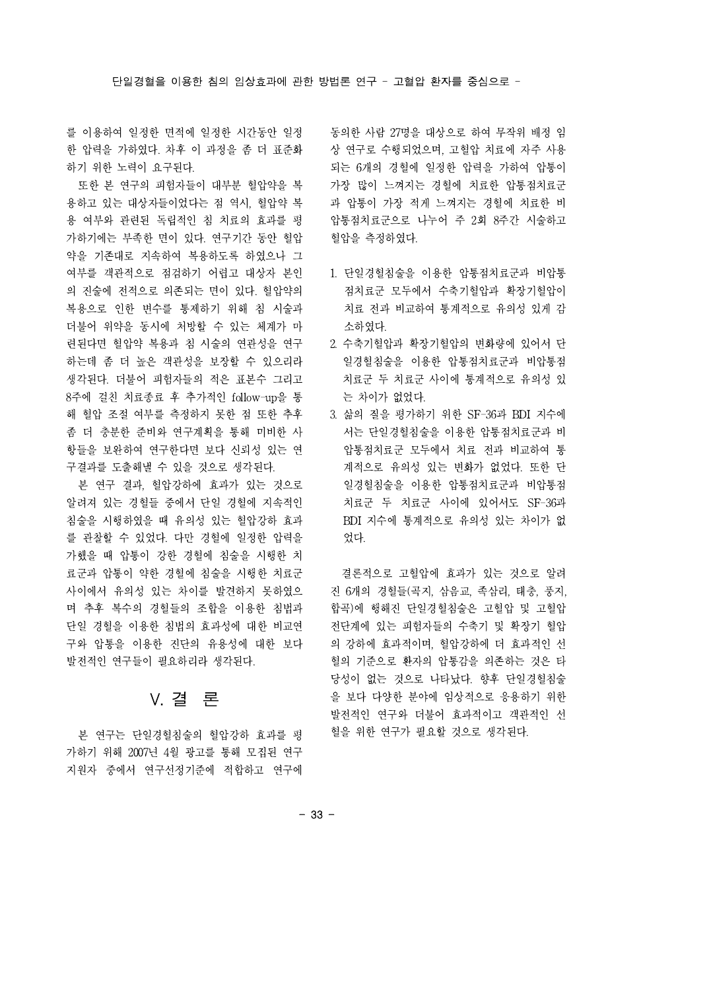를 이용하여 일정한 면적에 일정한 시간동안 일정 한 압력을 가하였다. 차후 이 과정을 좀 더 표준화 하기 위한 노력이 요구된다.

또한 본 연구의 피험자들이 대부분 혈압약을 복 용하고 있는 대상자들이었다는 점 역시, 혈압약 복 용 여부와 관련된 독립적인 침 치료의 효과를 평 가하기에는 부족한 면이 있다. 연구기간 동안 혈압 약을 기존대로 지속하여 복용하도록 하였으나 그 여부를 객관적으로 점검하기 어렵고 대상자 본인 의 진술에 전적으로 의존되는 면이 있다. 혈압약의 복용으로 인한 변수를 통제하기 위해 침 시술과 더불어 위약을 동시에 처방할 수 있는 체계가 마 련된다면 혈압약 복용과 침 시술의 연관성을 연구 하는데 좀 더 높은 객관성을 보장할 수 있으리라 생각된다. 더불어 피험자들의 적은 표본수 그리고 8주에 걸친 치료종료 후 추가적인 follow-up을 통 해 혈압 조절 여부를 측정하지 못한 점 또한 추후 좀 더 충분한 준비와 연구계획을 통해 미비한 사 항들을 보완하여 연구한다면 보다 신뢰성 있는 연 구결과를 도출해낼 수 있을 것으로 생각된다.

본 연구 결과, 혈압강하에 효과가 있는 것으로 알려져 있는 경혈들 중에서 단일 경혈에 지속적인 침술을 시행하였을 때 유의성 있는 혈압강하 효과 를 관찰할 수 있었다. 다만 경혈에 일정한 압력을 가했을 때 압통이 강한 경혈에 침술을 시행한 치 료군과 압통이 약한 경혈에 침술을 시행한 치료군 사이에서 유의성 있는 차이를 발견하지 못하였으 며 추후 복수의 경혈들의 조합을 이용한 침법과 단일 경혈을 이용한 침법의 효과성에 대한 비교연 구와 압통을 이용한 진단의 유용성에 대한 보다 발전적인 연구들이 필요하리라 생각된다.

### V. 결 론

본 연구는 단일경혈침술의 혈압강하 효과를 평 가하기 위해 2007년 4월 광고를 통해 모집된 연구 지원자 중에서 연구선정기준에 적합하고 연구에

동의한 사람 27명을 대상으로 하여 무작위 배정 임 상 연구로 수행되었으며, 고혈압 치료에 자주 사용 되는 6개의 경혈에 일정한 압력을 가하여 압통이 가장 많이 느껴지는 경혈에 치료한 압통점치료군 과 압통이 가장 적게 느껴지는 경혈에 치료한 비 압통점치료군으로 나누어 주 2회 8주간 시술하고 혈압을 측정하였다.

- 1. 단일경혈침술을 이용한 압통점치료군과 비압통 점치료군 모두에서 수축기혈압과 확장기혈압이 치료 전과 비교하여 통계적으로 유의성 있게 감 소하였다.
- 2. 수축기혈압과 확장기혈압의 변화량에 있어서 단 일경혈침술을 이용한 압통점치료군과 비압통점 치료군 두 치료군 사이에 통계적으로 유의성 있 는 차이가 없었다.
- 3. 삶의 질을 평가하기 위한 SF-36과 BDI 지수에 서는 단일경혈침술을 이용한 압통점치료군과 비 압통점치료군 모두에서 치료 전과 비교하여 통 계적으로 유의성 있는 변화가 없었다. 또한 단 일경혈침술을 이용한 압통점치료군과 비압통점 치료군 두 치료군 사이에 있어서도 SF-36과 BDI 지수에 통계적으로 유의성 있는 차이가 없 었다.

결론적으로 고혈압에 효과가 있는 것으로 알려 진 6개의 경혈들(곡지, 삼음교, 족삼리, 태충, 풍지, 합곡)에 행해진 단일경혈침술은 고혈압 및 고혈압 전단계에 있는 피험자들의 수축기 및 확장기 혈압 의 강하에 효과적이며, 혈압강하에 더 효과적인 선 혈의 기준으로 환자의 압통감을 의존하는 것은 타 당성이 없는 것으로 나타났다. 향후 단일경혈침술 을 보다 다양한 분야에 임상적으로 응용하기 위한 발전적인 연구와 더불어 효과적이고 객관적인 선 혈을 위한 연구가 필요할 것으로 생각된다.

- 33 -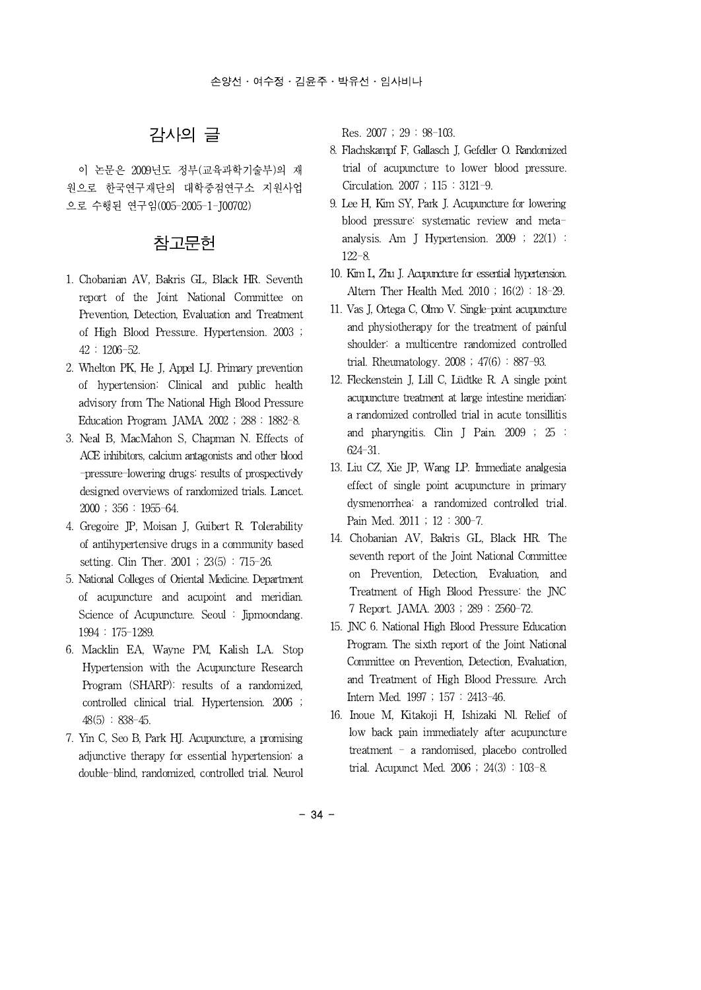# 감사의 글

이 논문은 2009년도 정부(교육과학기술부)의 재 원으로 한국연구재단의 대학중점연구소 지원사업 으로 수행된 연구임(005-2005-1-J00702)

### 참고문헌

- 1. Chobanian AV, Bakris GL, Black HR. Seventh report of the Joint National Committee on Prevention, Detection, Evaluation and Treatment of High Blood Pressure. Hypertension. 2003 ; 42 : 1206-52.
- 2. Whelton PK, He J, Appel LJ. Primary prevention of hypertension: Clinical and public health advisory from The National High Blood Pressure Education Program. JAMA. 2002 ; 288 : 1882-8.
- 3. Neal B, MacMahon S, Chapman N. Effects of ACE inhibitors, calcium antagonists and other blood -pressure-lowering drugs: results of prospectively designed overviews of randomized trials. Lancet. 2000 ; 356 : 1955-64.
- 4. Gregoire JP, Moisan J, Guibert R. Tolerability of antihypertensive drugs in a community based setting. Clin Ther. 2001 ; 23(5) : 715-26.
- 5. National Colleges of Oriental Medicine. Department of acupuncture and acupoint and meridian. Science of Acupuncture. Seoul : Jipmoondang. 1994 : 175-1289.
- 6. Macklin EA, Wayne PM, Kalish LA. Stop Hypertension with the Acupuncture Research Program (SHARP): results of a randomized, controlled clinical trial. Hypertension. 2006 ;  $48(5) : 838-45.$
- 7. Yin C, Seo B, Park HJ. Acupuncture, a promising adjunctive therapy for essential hypertension: a double-blind, randomized, controlled trial. Neurol

Res. 2007 ; 29 : 98-103.

- 8. Flachskampf F, Gallasch J, Gefeller O. Randomized trial of acupuncture to lower blood pressure. Circulation. 2007 ; 115 : 3121-9.
- 9. Lee H, Kim SY, Park J. Acupuncture for lowering blood pressure: systematic review and metaanalysis. Am J Hypertension. 2009 ; 22(1) : 122-8.
- 10. Kim L, Zhu J. Acupuncture for essential hypertension. Altern Ther Health Med. 2010 ; 16(2) : 18-29.
- 11. Vas J, Ortega C, Olmo V. Single-point acupuncture and physiotherapy for the treatment of painful shoulder: a multicentre randomized controlled trial. Rheumatology.  $2008$ ;  $47(6)$ : 887-93.
- 12. Fleckenstein J, Lill C, Lüdtke R. A single point acupuncture treatment at large intestine meridian: a randomized controlled trial in acute tonsillitis and pharyngitis. Clin J Pain. 2009 ; 25 : 624-31.
- 13. Liu CZ, Xie JP, Wang LP. Immediate analgesia effect of single point acupuncture in primary dysmenorrhea: a randomized controlled trial. Pain Med. 2011 ; 12 : 300-7.
- 14. Chobanian AV, Bakris GL, Black HR. The seventh report of the Joint National Committee on Prevention, Detection, Evaluation, and Treatment of High Blood Pressure: the JNC 7 Report. JAMA. 2003 ; 289 : 2560-72.
- 15. JNC 6. National High Blood Pressure Education Program. The sixth report of the Joint National Committee on Prevention, Detection, Evaluation, and Treatment of High Blood Pressure. Arch Intern Med. 1997 ; 157 : 2413-46.
- 16. Inoue M, Kitakoji H, Ishizaki Nl. Relief of low back pain immediately after acupuncture treatment - a randomised, placebo controlled trial. Acupunct Med. 2006 ; 24(3) : 103-8.

- 34 -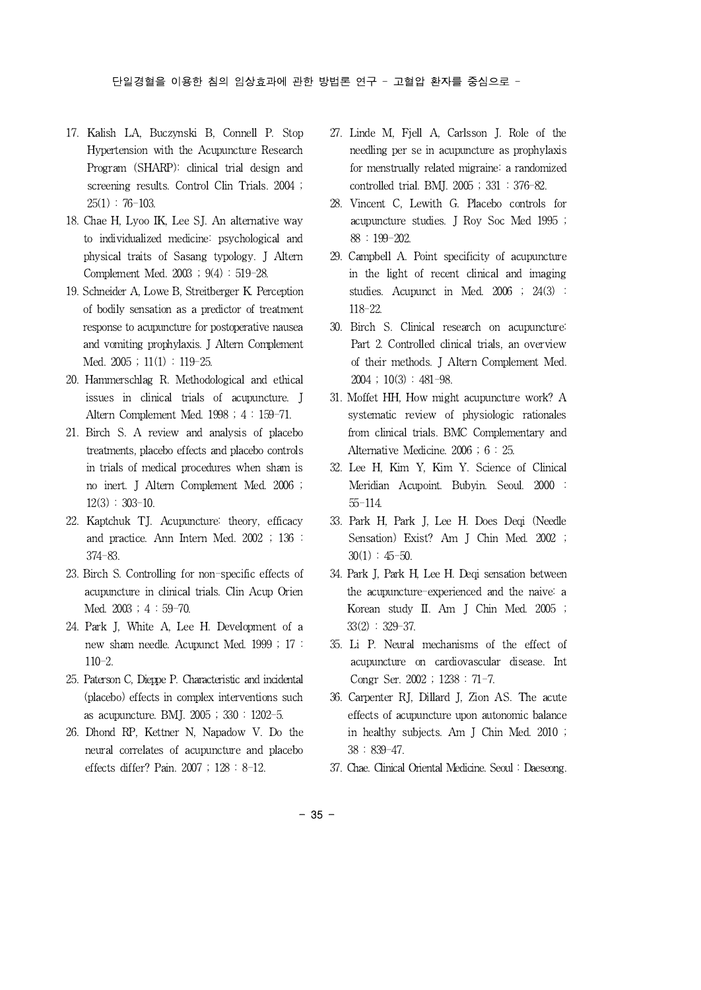- 17. Kalish LA, Buczynski B, Connell P. Stop Hypertension with the Acupuncture Research Program (SHARP): clinical trial design and screening results. Control Clin Trials. 2004 ;  $25(1)$ : 76-103.
- 18. Chae H, Lyoo IK, Lee SJ. An alternative way to individualized medicine: psychological and physical traits of Sasang typology. J Altern Complement Med.  $2003$ ;  $9(4)$ :  $519-28$ .
- 19. Schneider A, Lowe B, Streitberger K.Perception of bodily sensation as a predictor of treatment response to acupuncture for postoperative nausea and vomiting prophylaxis. J Altern Complement Med.  $2005$ ;  $11(1)$ :  $119-25$ .
- 20. Hammerschlag R. Methodological and ethical issues in clinical trials of acupuncture. J Altern Complement Med. 1998 ; 4 : 159-71.
- 21. Birch S. A review and analysis of placebo treatments, placebo effects and placebo controls in trials of medical procedures when sham is no inert. J Altern Complement Med. 2006 ; 12(3) : 303-10.
- 22. Kaptchuk TJ. Acupuncture: theory, efficacy and practice. Ann Intern Med. 2002 ; 136 : 374-83.
- 23. Birch S. Controlling for non-specific effects of acupuncture in clinical trials. Clin Acup Orien Med. 2003 ; 4 : 59-70.
- 24. Park J, White A, Lee H. Development of a new sham needle. Acupunct Med. 1999 ; 17 : 110-2.
- 25. Paterson C, Dieppe P. Characteristic and incidental (placebo) effects in complex interventions such as acupuncture. BMJ. 2005 ; 330 : 1202-5.
- 26. Dhond RP, Kettner N, Napadow V. Do the neural correlates of acupuncture and placebo effects differ? Pain. 2007 ; 128 : 8-12.
- 27. Linde M, Fjell A, Carlsson J. Role of the needling per se in acupuncture as prophylaxis for menstrually related migraine: a randomized controlled trial.BMJ. 2005 ; 331 : 376-82.
- 28. Vincent C, Lewith G. Placebo controls for acupuncture studies. J Roy Soc Med 1995 ; 88 : 199-202.
- 29. Campbell A. Point specificity of acupuncture in the light of recent clinical and imaging studies. Acupunct in Med. 2006 ; 24(3) : 118-22.
- 30. Birch S. Clinical research on acupuncture: Part 2. Controlled clinical trials, an overview of their methods. J Altern Complement Med.  $2004$ ;  $10(3)$ :  $481-98$ .
- 31. Moffet HH, How might acupuncture work? A systematic review of physiologic rationales from clinical trials. BMC Complementary and Alternative Medicine. 2006 ; 6 : 25.
- 32. Lee H, Kim Y, Kim Y. Science of Clinical Meridian Acupoint. Bubyin. Seoul. 2000 : 55-114.
- 33. Park H, Park J, Lee H. Does Deqi (Needle Sensation) Exist? Am J Chin Med. 2002 ;  $30(1) : 45-50.$
- 34. Park J, Park H, Lee H. Deqi sensation between the acupuncture-experienced and the naive: a Korean study II. Am J Chin Med. 2005 ; 33(2) : 329-37.
- 35. Li P. Neural mechanisms of the effect of acupuncture on cardiovascular disease. Int Congr Ser. 2002 ; 1238 : 71-7.
- 36. Carpenter RJ, Dillard J, Zion AS. The acute effects of acupuncture upon autonomic balance in healthy subjects. Am J Chin Med. 2010 ; 38 : 839-47.
- 37. Chae. Clinical Oriental Medicine. Seoul : Daeseong.

- 35 -